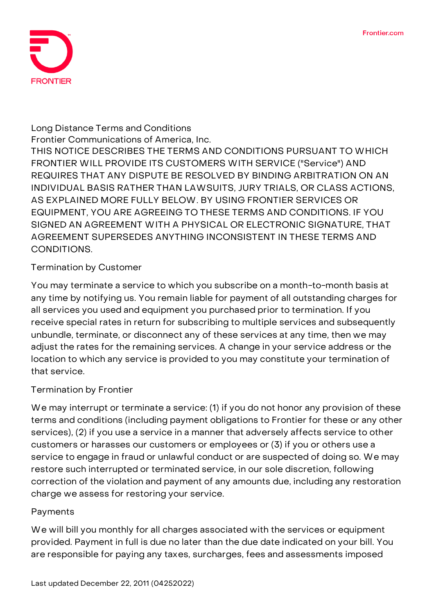

# **Long Distance Terms and Conditions Frontier Communications of America, Inc.** THIS NOTICE DESCRIBES THE TERMS AND CONDITIONS PURSUANT TO WHICH FRONTIER WILL PROVIDE ITS CUSTOMERS WITH SERVICE ("Service") AND REQUIRES THAT ANY DISPUTE BE RESOLVED BY BINDING ARBITRATION ON AN INDIVIDUAL BASIS RATHER THAN LAWSUITS, JURY TRIALS, OR CLASS ACTIONS, AS EXPLAINED MORE FULLY BELOW. BY USING FRONTIER SERVICES OR EQUIPMENT, YOU ARE AGREEING TO THESE TERMS AND CONDITIONS. IF YOU SIGNED AN AGREEMENT WITH A PHYSICAL OR ELECTRONIC SIGNATURE, THAT AGREEMENT SUPERSEDES ANYTHING INCONSISTENT IN THESE TERMS AND CONDITIONS.

# **Termination by Customer**

You may terminate a service to which you subscribe on a month-to-month basis at any time by notifying us. You remain liable for payment of all outstanding charges for all services you used and equipment you purchased prior to termination. If you receive special rates in return for subscribing to multiple services and subsequently unbundle, terminate, or disconnect any of these services at any time, then we may adjust the rates for the remaining services. A change in your service address or the location to which any service is provided to you may constitute your termination of that service.

## **Termination by Frontier**

We may interrupt or terminate a service: (1) if you do not honor any provision of these terms and conditions (including payment obligations to Frontier for these or any other services), (2) if you use a service in a manner that adversely affects service to other customers or harasses our customers or employees or (3) if you or others use a service to engage in fraud or unlawful conduct or are suspected of doing so. We may restore such interrupted or terminated service, in our sole discretion, following correction of the violation and payment of any amounts due, including any restoration charge we assess for restoring your service.

### **Payments**

We will bill you monthly for all charges associated with the services or equipment provided. Payment in full is due no later than the due date indicated on your bill. You are responsible for paying any taxes, surcharges, fees and assessments imposed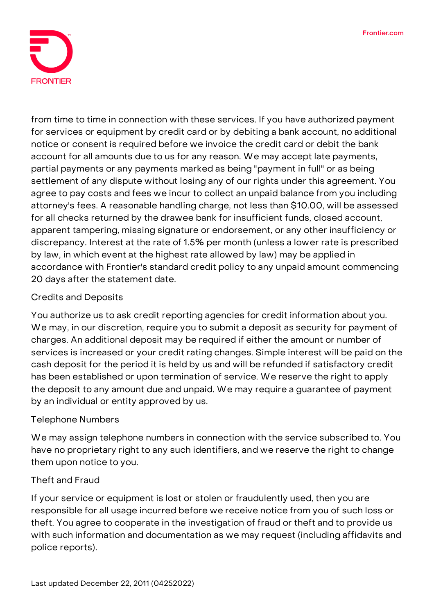

from time to time in connection with these services. If you have authorized payment for services or equipment by credit card or by debiting a bank account, no additional notice or consent is required before we invoice the credit card or debit the bank account for all amounts due to us for any reason. We may accept late payments, partial payments or any payments marked as being "payment in full" or as being settlement of any dispute without losing any of our rights under this agreement. You agree to pay costs and fees we incur to collect an unpaid balance from you including attorney's fees. A reasonable handling charge, not less than \$10.00, will be assessed for all checks returned by the drawee bank for insufficient funds, closed account, apparent tampering, missing signature or endorsement, or any other insufficiency or discrepancy. Interest at the rate of 1.5% per month (unless a lower rate is prescribed by law, in which event at the highest rate allowed by law) may be applied in accordance with Frontier's standard credit policy to any unpaid amount commencing 20 days after the statement date.

## **Credits and Deposits**

You authorize us to ask credit reporting agencies for credit information about you. We may, in our discretion, require you to submit a deposit as security for payment of charges. An additional deposit may be required if either the amount or number of services is increased or your credit rating changes. Simple interest will be paid on the cash deposit for the period it is held by us and will be refunded if satisfactory credit has been established or upon termination of service. We reserve the right to apply the deposit to any amount due and unpaid. We may require a guarantee of payment by an individual or entity approved by us.

### **Telephone Numbers**

We may assign telephone numbers in connection with the service subscribed to. You have no proprietary right to any such identifiers, and we reserve the right to change them upon notice to you.

### **Theft and Fraud**

If your service or equipment is lost or stolen or fraudulently used, then you are responsible for all usage incurred before we receive notice from you of such loss or theft. You agree to cooperate in the investigation of fraud or theft and to provide us with such information and documentation as we may request (including affidavits and police reports).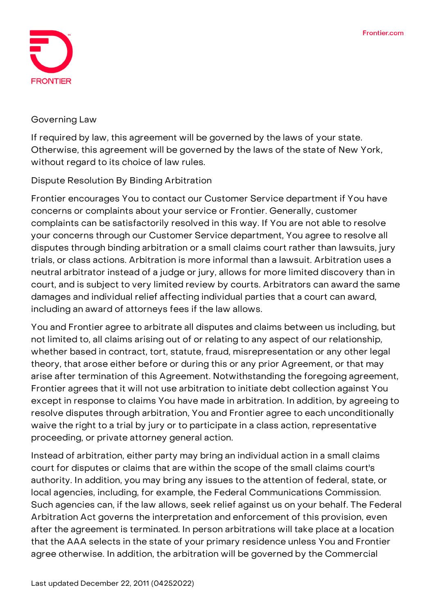

#### **Governing Law**

If required by law, this agreement will be governed by the laws of your state. Otherwise, this agreement will be governed by the laws of the state of New York, without regard to its choice of law rules.

#### **Dispute Resolution By Binding Arbitration**

Frontier encourages You to contact our Customer Service department if You have concerns or complaints about your service or Frontier. Generally, customer complaints can be satisfactorily resolved in this way. If You are not able to resolve your concerns through our Customer Service department, You agree to resolve all disputes through binding arbitration or a small claims court rather than lawsuits, jury trials, or class actions. Arbitration is more informal than a lawsuit. Arbitration uses a neutral arbitrator instead of a judge or jury, allows for more limited discovery than in court, and is subject to very limited review by courts. Arbitrators can award the same damages and individual relief affecting individual parties that a court can award, including an award of attorneys fees if the law allows.

You and Frontier agree to arbitrate all disputes and claims between us including, but not limited to, all claims arising out of or relating to any aspect of our relationship, whether based in contract, tort, statute, fraud, misrepresentation or any other legal theory, that arose either before or during this or any prior Agreement, or that may arise after termination of this Agreement. Notwithstanding the foregoing agreement, Frontier agrees that it will not use arbitration to initiate debt collection against You except in response to claims You have made in arbitration. In addition, by agreeing to resolve disputes through arbitration, You and Frontier agree to each unconditionally waive the right to a trial by jury or to participate in a class action, representative proceeding, or private attorney general action.

Instead of arbitration, either party may bring an individual action in a small claims court for disputes or claims that are within the scope of the small claims court's authority. In addition, you may bring any issues to the attention of federal, state, or local agencies, including, for example, the Federal Communications Commission. Such agencies can, if the law allows, seek relief against us on your behalf. The Federal Arbitration Act governs the interpretation and enforcement of this provision, even after the agreement is terminated. In person arbitrations will take place at a location that the AAA selects in the state of your primary residence unless You and Frontier agree otherwise. In addition, the arbitration will be governed by the Commercial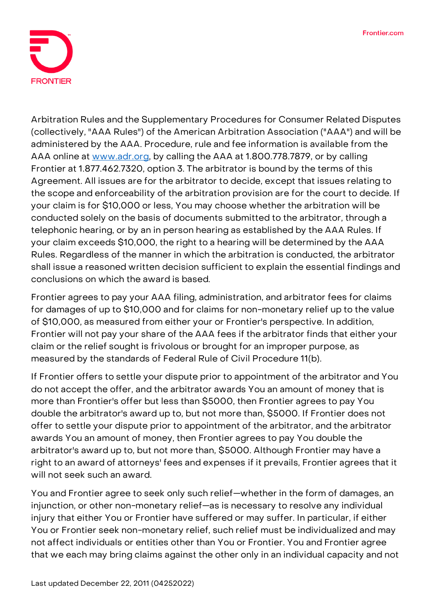

Arbitration Rules and the Supplementary Procedures for Consumer Related Disputes (collectively, "AAA Rules") of the American Arbitration Association ("AAA") and will be administered by the AAA. Procedure, rule and fee information is available from the AAA online at [www.adr.org,](http://www.adr.org/) by calling the AAA at 1.800.778.7879, or by calling Frontier at 1.877.462.7320, option 3. The arbitrator is bound by the terms of this Agreement. All issues are for the arbitrator to decide, except that issues relating to the scope and enforceability of the arbitration provision are for the court to decide. If your claim is for \$10,000 or less, You may choose whether the arbitration will be conducted solely on the basis of documents submitted to the arbitrator, through a telephonic hearing, or by an in person hearing as established by the AAA Rules. If your claim exceeds \$10,000, the right to a hearing will be determined by the AAA Rules. Regardless of the manner in which the arbitration is conducted, the arbitrator shall issue a reasoned written decision sufficient to explain the essential findings and conclusions on which the award is based.

Frontier agrees to pay your AAA filing, administration, and arbitrator fees for claims for damages of up to \$10,000 and for claims for non-monetary relief up to the value of \$10,000, as measured from either your or Frontier's perspective. In addition, Frontier will not pay your share of the AAA fees if the arbitrator finds that either your claim or the relief sought is frivolous or brought for an improper purpose, as measured by the standards of Federal Rule of Civil Procedure 11(b).

If Frontier offers to settle your dispute prior to appointment of the arbitrator and You do not accept the offer, and the arbitrator awards You an amount of money that is more than Frontier's offer but less than \$5000, then Frontier agrees to pay You double the arbitrator's award up to, but not more than, \$5000. If Frontier does not offer to settle your dispute prior to appointment of the arbitrator, and the arbitrator awards You an amount of money, then Frontier agrees to pay You double the arbitrator's award up to, but not more than, \$5000. Although Frontier may have a right to an award of attorneys' fees and expenses if it prevails, Frontier agrees that it will not seek such an award.

You and Frontier agree to seek only such relief—whether in the form of damages, an injunction, or other non-monetary relief—as is necessary to resolve any individual injury that either You or Frontier have suffered or may suffer. In particular, if either You or Frontier seek non-monetary relief, such relief must be individualized and may not affect individuals or entities other than You or Frontier. You and Frontier agree that we each may bring claims against the other only in an individual capacity and not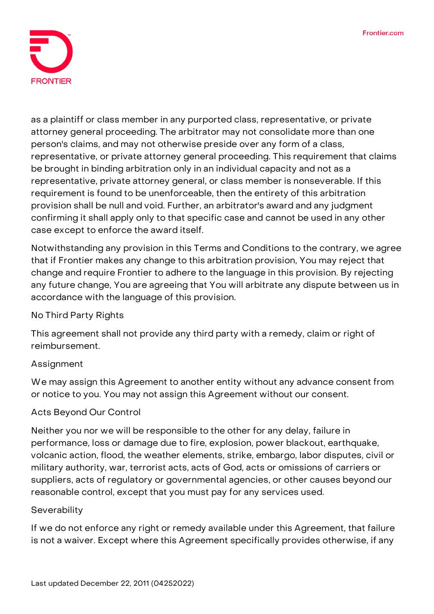

as a plaintiff or class member in any purported class, representative, or private attorney general proceeding. The arbitrator may not consolidate more than one person's claims, and may not otherwise preside over any form of a class, representative, or private attorney general proceeding. This requirement that claims be brought in binding arbitration only in an individual capacity and not as a representative, private attorney general, or class member is nonseverable. If this requirement is found to be unenforceable, then the entirety of this arbitration provision shall be null and void. Further, an arbitrator's award and any judgment confirming it shall apply only to that specific case and cannot be used in any other case except to enforce the award itself.

Notwithstanding any provision in this Terms and Conditions to the contrary, we agree that if Frontier makes any change to this arbitration provision, You may reject that change and require Frontier to adhere to the language in this provision. By rejecting any future change, You are agreeing that You will arbitrate any dispute between us in accordance with the language of this provision.

### **No Third Party Rights**

This agreement shall not provide any third party with a remedy, claim or right of reimbursement.

### **Assignment**

We may assign this Agreement to another entity without any advance consent from or notice to you. You may not assign this Agreement without our consent.

#### **Acts Beyond Our Control**

Neither you nor we will be responsible to the other for any delay, failure in performance, loss or damage due to fire, explosion, power blackout, earthquake, volcanic action, flood, the weather elements, strike, embargo, labor disputes, civil or military authority, war, terrorist acts, acts of God, acts or omissions of carriers or suppliers, acts of regulatory or governmental agencies, or other causes beyond our reasonable control, except that you must pay for any services used.

#### **Severability**

If we do not enforce any right or remedy available under this Agreement, that failure is not a waiver. Except where this Agreement specifically provides otherwise, if any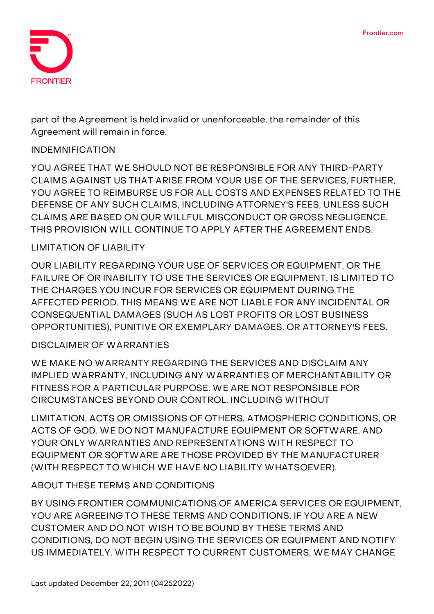

part of the Agreement is held invalid or unenforceable, the remainder of this Agreement will remain in force.

### **INDEMNIFICATION**

YOU AGREE THAT WE SHOULD NOT BE RESPONSIBLE FOR ANY THIRD-PARTY CLAIMS AGAINST US THAT ARISE FROM YOUR USE OF THE SERVICES, FURTHER, YOU AGREE TO REIMBURSE US FOR ALL COSTS AND EXPENSES RELATED TO THE DEFENSE OF ANY SUCH CLAIMS, INCLUDING ATTORNEY'S FEES, UNLESS SUCH CLAIMS ARE BASED ON OUR WILLFUL MISCONDUCT OR GROSS NEGLIGENCE. THIS PROVISION WILL CONTINUE TO APPLY AFTER THE AGREEMENT ENDS.

## **LIMITATION OF LIABILITY**

OUR LIABILITY REGARDING YOUR USE OF SERVICES OR EQUIPMENT, OR THE FAILURE OF OR INABILITY TO USE THE SERVICES OR EQUIPMENT, IS LIMITED TO THE CHARGES YOU INCUR FOR SERVICES OR EQUIPMENT DURING THE AFFECTED PERIOD. THIS MEANS WE ARE NOT LIABLE FOR ANY INCIDENTAL OR CONSEQUENTIAL DAMAGES (SUCH AS LOST PROFITS OR LOST BUSINESS OPPORTUNITIES), PUNITIVE OR EXEMPLARY DAMAGES, OR ATTORNEY'S FEES.

## **DISCLAIMER OF WARRANTIES**

WE MAKE NO WARRANTY REGARDING THE SERVICES AND DISCLAIM ANY IMPLIED WARRANTY, INCLUDING ANY WARRANTIES OF MERCHANTABILITY OR FITNESS FOR A PARTICULAR PURPOSE. WE ARE NOT RESPONSIBLE FOR CIRCUMSTANCES BEYOND OUR CONTROL, INCLUDING WITHOUT

LIMITATION, ACTS OR OMISSIONS OF OTHERS, ATMOSPHERIC CONDITIONS, OR ACTS OF GOD. WE DO NOT MANUFACTURE EQUIPMENT OR SOFTWARE, AND YOUR ONLY WARRANTIES AND REPRESENTATIONS WITH RESPECT TO EQUIPMENT OR SOFTWARE ARE THOSE PROVIDED BY THE MANUFACTURER (WITH RESPECT TO WHICH WE HAVE NO LIABILITY WHATSOEVER).

## **ABOUT THESE TERMS AND CONDITIONS**

BY USING FRONTIER COMMUNICATIONS OF AMERICA SERVICES OR EQUIPMENT, YOU ARE AGREEING TO THESE TERMS AND CONDITIONS. IF YOU ARE A NEW CUSTOMER AND DO NOT WISH TO BE BOUND BY THESE TERMS AND CONDITIONS, DO NOT BEGIN USING THE SERVICES OR EQUIPMENT AND NOTIFY US IMMEDIATELY. WITH RESPECT TO CURRENT CUSTOMERS, WE MAY CHANGE